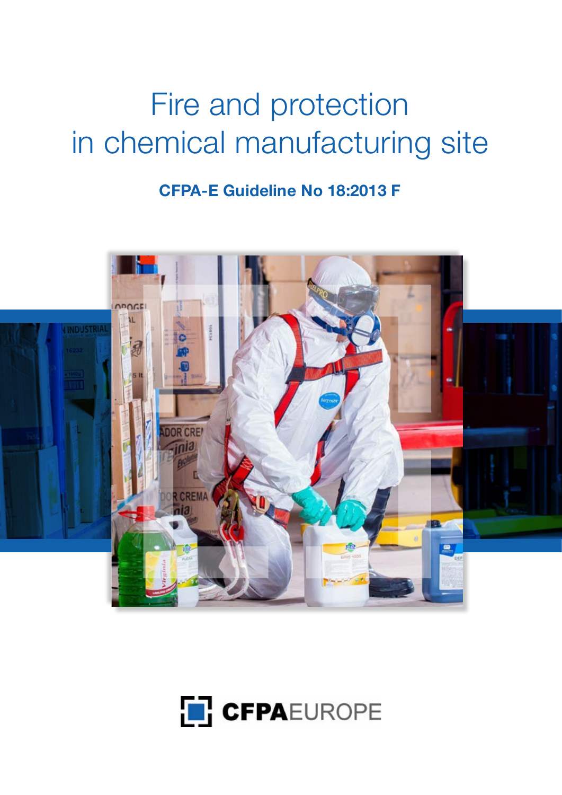# Fire and protection in chemical manufacturing site

**CFPA-E Guideline No 18:2013 F**



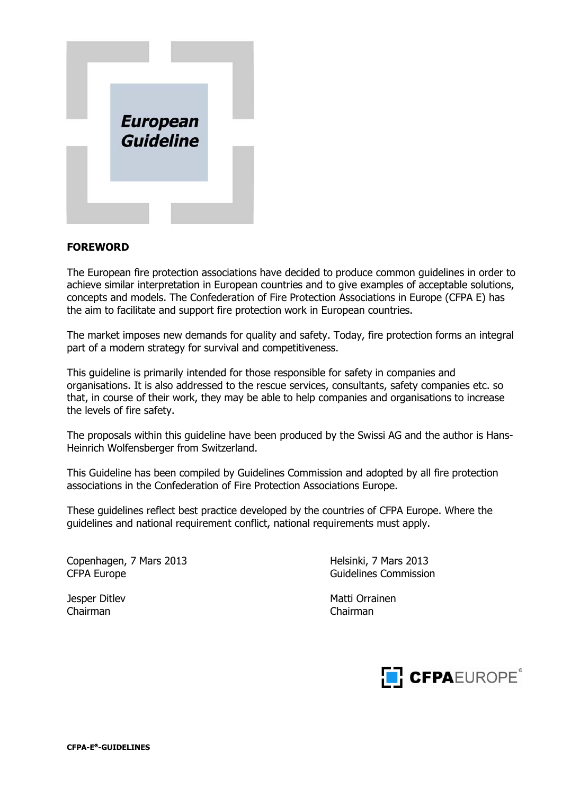

#### **FOREWORD**

The European fire protection associations have decided to produce common guidelines in order to achieve similar interpretation in European countries and to give examples of acceptable solutions, concepts and models. The Confederation of Fire Protection Associations in Europe (CFPA E) has the aim to facilitate and support fire protection work in European countries.

The market imposes new demands for quality and safety. Today, fire protection forms an integral part of a modern strategy for survival and competitiveness.

This guideline is primarily intended for those responsible for safety in companies and organisations. It is also addressed to the rescue services, consultants, safety companies etc. so that, in course of their work, they may be able to help companies and organisations to increase the levels of fire safety.

The proposals within this guideline have been produced by the Swissi AG and the author is Hans-Heinrich Wolfensberger from Switzerland.

This Guideline has been compiled by Guidelines Commission and adopted by all fire protection associations in the Confederation of Fire Protection Associations Europe.

These guidelines reflect best practice developed by the countries of CFPA Europe. Where the guidelines and national requirement conflict, national requirements must apply.

Copenhagen, 7 Mars 2013 Helsinki, 7 Mars 2013 CFPA Europe CFPA Europe CFPA Europe CFPA Europe CFPA Europe Commission

Chairman Chairman

Jesper Ditlev Matti Orrainen

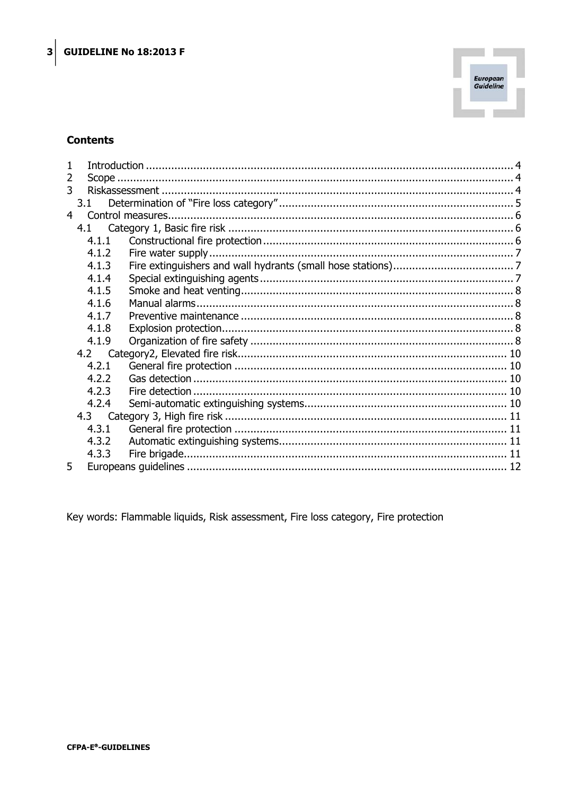

## **Contents**

| 2              |       |  |  |
|----------------|-------|--|--|
| 3              |       |  |  |
|                | 3.1   |  |  |
| $\overline{4}$ |       |  |  |
|                |       |  |  |
|                | 4.1.1 |  |  |
|                | 4.1.2 |  |  |
|                | 4.1.3 |  |  |
|                | 4.1.4 |  |  |
|                | 4.1.5 |  |  |
|                | 4.1.6 |  |  |
|                | 4.1.7 |  |  |
|                | 4.1.8 |  |  |
|                | 4.1.9 |  |  |
|                |       |  |  |
|                | 4.2.1 |  |  |
|                | 4.2.2 |  |  |
|                | 4.2.3 |  |  |
|                | 4.2.4 |  |  |
|                |       |  |  |
|                | 4.3.1 |  |  |
|                | 4.3.2 |  |  |
|                | 4.3.3 |  |  |
| 5              |       |  |  |

Key words: Flammable liquids, Risk assessment, Fire loss category, Fire protection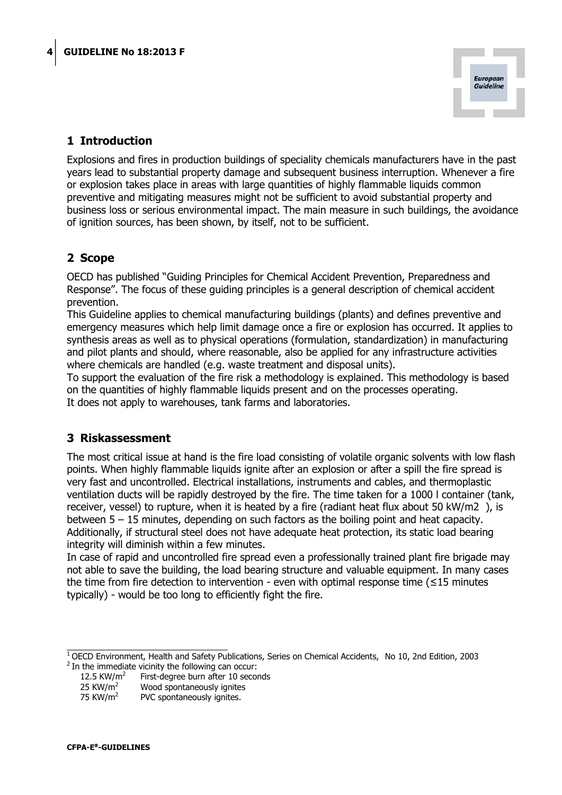

# <span id="page-3-0"></span>**1 Introduction**

Explosions and fires in production buildings of speciality chemicals manufacturers have in the past years lead to substantial property damage and subsequent business interruption. Whenever a fire or explosion takes place in areas with large quantities of highly flammable liquids common preventive and mitigating measures might not be sufficient to avoid substantial property and business loss or serious environmental impact. The main measure in such buildings, the avoidance of ignition sources, has been shown, by itself, not to be sufficient.

# <span id="page-3-1"></span>**2 Scope**

OECD has published "Guiding Principles for Chemical Accident Prevention, Preparedness and Response". The focus of these guiding principles is a general description of chemical accident prevention.

This Guideline applies to chemical manufacturing buildings (plants) and defines preventive and emergency measures which help limit damage once a fire or explosion has occurred. It applies to synthesis areas as well as to physical operations (formulation, standardization) in manufacturing and pilot plants and should, where reasonable, also be applied for any infrastructure activities where chemicals are handled (e.g. waste treatment and disposal units).

To support the evaluation of the fire risk a methodology is explained. This methodology is based on the quantities of highly flammable liquids present and on the processes operating. It does not apply to warehouses, tank farms and laboratories.

# <span id="page-3-2"></span>**3 Riskassessment**

The most critical issue at hand is the fire load consisting of volatile organic solvents with low flash points. When highly flammable liquids ignite after an explosion or after a spill the fire spread is very fast and uncontrolled. Electrical installations, instruments and cables, and thermoplastic ventilation ducts will be rapidly destroyed by the fire. The time taken for a 1000 l container (tank, receiver, vessel) to rupture, when it is heated by a fire (radiant heat flux about 50 kW/m2 ), is between 5 – 15 minutes, depending on such factors as the boiling point and heat capacity. Additionally, if structural steel does not have adequate heat protection, its static load bearing integrity will diminish within a few minutes.

In case of rapid and uncontrolled fire spread even a professionally trained plant fire brigade may not able to save the building, the load bearing structure and valuable equipment. In many cases the time from fire detection to intervention - even with optimal response time (≤15 minutes typically) - would be too long to efficiently fight the fire.

<sup>&</sup>lt;sup>1</sup> OECD Environment, Health and Safety Publications, Series on Chemical Accidents, No 10, 2nd Edition, 2003  $2$  In the immediate vicinity the following can occur:

<sup>12.5</sup> KW/ $m^2$  First-degree burn after 10 seconds

<sup>25</sup> KW/m<sup>2</sup> Wood spontaneously ignites<br>75 KW/m<sup>2</sup> PVC spontaneously ignites.

PVC spontaneously ignites.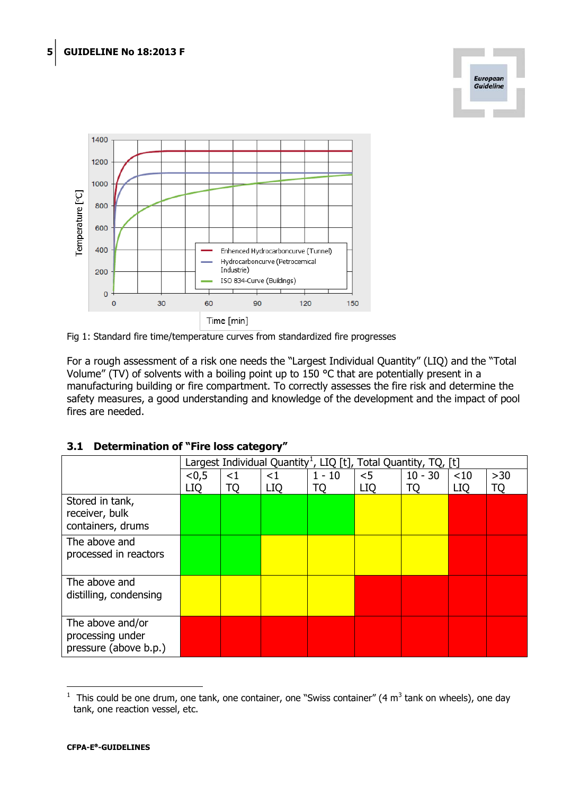





For a rough assessment of a risk one needs the "Largest Individual Quantity" (LIQ) and the "Total Volume" (TV) of solvents with a boiling point up to 150 °C that are potentially present in a manufacturing building or fire compartment. To correctly assesses the fire risk and determine the safety measures, a good understanding and knowledge of the development and the impact of pool fires are needed.

|                                                               | Largest Individual Quantity <sup>1</sup> , LIQ [t], Total Quantity, TQ, [t] |             |                        |                |                     |                 |                   |                    |
|---------------------------------------------------------------|-----------------------------------------------------------------------------|-------------|------------------------|----------------|---------------------|-----------------|-------------------|--------------------|
|                                                               | < 0.5<br>LIQ                                                                | $<$ 1<br>TQ | $\leq$ 1<br><b>LIQ</b> | $1 - 10$<br>ТQ | $<$ 5<br><b>LIQ</b> | $10 - 30$<br>TQ | <10<br><b>LIQ</b> | $>30$<br><b>TQ</b> |
| Stored in tank,<br>receiver, bulk<br>containers, drums        |                                                                             |             |                        |                |                     |                 |                   |                    |
| The above and<br>processed in reactors                        |                                                                             |             |                        |                |                     |                 |                   |                    |
| The above and<br>distilling, condensing                       |                                                                             |             |                        |                |                     |                 |                   |                    |
| The above and/or<br>processing under<br>pressure (above b.p.) |                                                                             |             |                        |                |                     |                 |                   |                    |

#### <span id="page-4-0"></span>**3.1 Determination of "Fire loss category"**

<span id="page-4-1"></span><sup>&</sup>lt;sup>1</sup> This could be one drum, one tank, one container, one "Swiss container" (4 m<sup>3</sup> tank on wheels), one day tank, one reaction vessel, etc.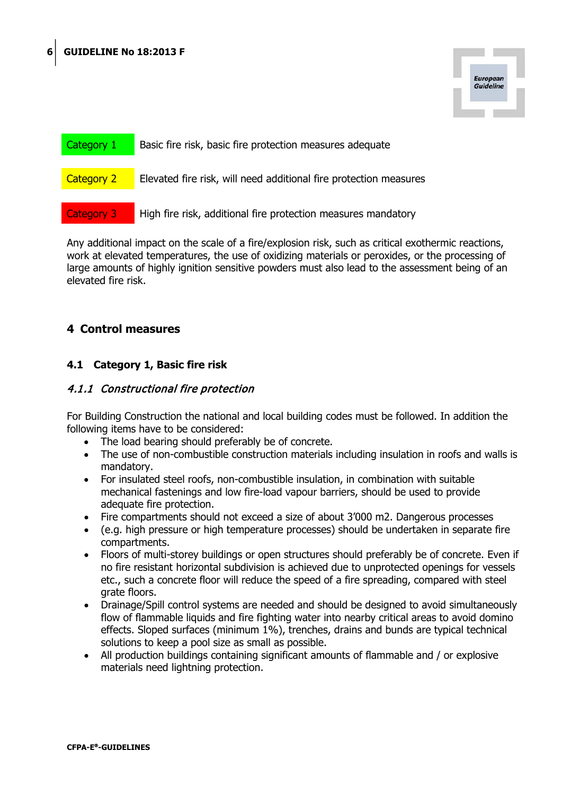

| Category 1        | Basic fire risk, basic fire protection measures adequate          |  |  |  |
|-------------------|-------------------------------------------------------------------|--|--|--|
|                   |                                                                   |  |  |  |
| <b>Category 2</b> | Elevated fire risk, will need additional fire protection measures |  |  |  |
|                   |                                                                   |  |  |  |
| Category 3        | High fire risk, additional fire protection measures mandatory     |  |  |  |
|                   |                                                                   |  |  |  |

Any additional impact on the scale of a fire/explosion risk, such as critical exothermic reactions, work at elevated temperatures, the use of oxidizing materials or peroxides, or the processing of large amounts of highly ignition sensitive powders must also lead to the assessment being of an elevated fire risk.

# <span id="page-5-0"></span>**4 Control measures**

# <span id="page-5-1"></span>**4.1 Category 1, Basic fire risk**

## <span id="page-5-2"></span>4.1.1 Constructional fire protection

For Building Construction the national and local building codes must be followed. In addition the following items have to be considered:

- The load bearing should preferably be of concrete.
- The use of non-combustible construction materials including insulation in roofs and walls is mandatory.
- For insulated steel roofs, non-combustible insulation, in combination with suitable mechanical fastenings and low fire-load vapour barriers, should be used to provide adequate fire protection.
- Fire compartments should not exceed a size of about 3'000 m2. Dangerous processes
- (e.g. high pressure or high temperature processes) should be undertaken in separate fire compartments.
- Floors of multi-storey buildings or open structures should preferably be of concrete. Even if no fire resistant horizontal subdivision is achieved due to unprotected openings for vessels etc., such a concrete floor will reduce the speed of a fire spreading, compared with steel grate floors.
- Drainage/Spill control systems are needed and should be designed to avoid simultaneously flow of flammable liquids and fire fighting water into nearby critical areas to avoid domino effects. Sloped surfaces (minimum 1%), trenches, drains and bunds are typical technical solutions to keep a pool size as small as possible.
- All production buildings containing significant amounts of flammable and / or explosive materials need lightning protection.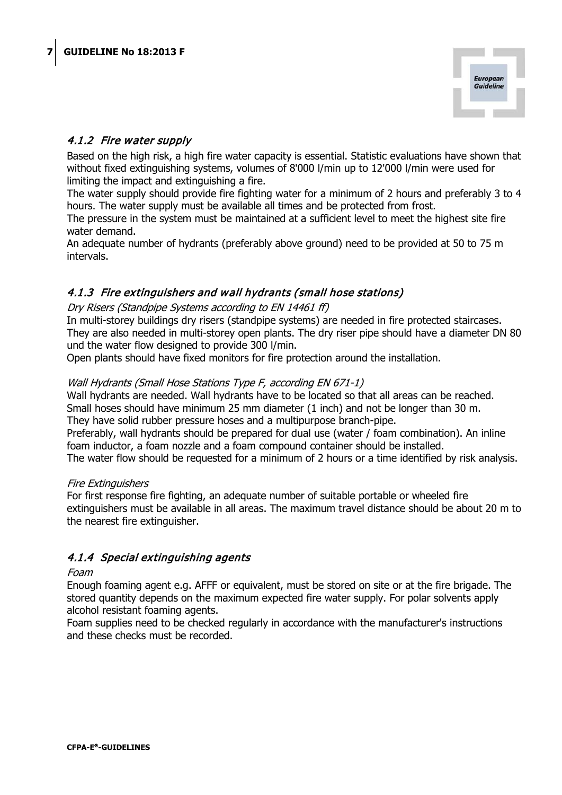

# <span id="page-6-0"></span>4.1.2 Fire water supply

Based on the high risk, a high fire water capacity is essential. Statistic evaluations have shown that without fixed extinguishing systems, volumes of 8'000 l/min up to 12'000 l/min were used for limiting the impact and extinguishing a fire.

The water supply should provide fire fighting water for a minimum of 2 hours and preferably 3 to 4 hours. The water supply must be available all times and be protected from frost.

The pressure in the system must be maintained at a sufficient level to meet the highest site fire water demand.

An adequate number of hydrants (preferably above ground) need to be provided at 50 to 75 m intervals.

# <span id="page-6-1"></span>4.1.3 Fire extinguishers and wall hydrants (small hose stations)

#### Dry Risers (Standpipe Systems according to EN 14461 ff)

In multi-storey buildings dry risers (standpipe systems) are needed in fire protected staircases. They are also needed in multi-storey open plants. The dry riser pipe should have a diameter DN 80 und the water flow designed to provide 300 l/min.

Open plants should have fixed monitors for fire protection around the installation.

#### Wall Hydrants (Small Hose Stations Type F, according EN 671-1)

Wall hydrants are needed. Wall hydrants have to be located so that all areas can be reached. Small hoses should have minimum 25 mm diameter (1 inch) and not be longer than 30 m. They have solid rubber pressure hoses and a multipurpose branch-pipe.

Preferably, wall hydrants should be prepared for dual use (water / foam combination). An inline foam inductor, a foam nozzle and a foam compound container should be installed.

The water flow should be requested for a minimum of 2 hours or a time identified by risk analysis.

#### Fire Extinguishers

For first response fire fighting, an adequate number of suitable portable or wheeled fire extinguishers must be available in all areas. The maximum travel distance should be about 20 m to the nearest fire extinguisher.

## <span id="page-6-2"></span>4.1.4 Special extinguishing agents

#### Foam

Enough foaming agent e.g. AFFF or equivalent, must be stored on site or at the fire brigade. The stored quantity depends on the maximum expected fire water supply. For polar solvents apply alcohol resistant foaming agents.

Foam supplies need to be checked regularly in accordance with the manufacturer's instructions and these checks must be recorded.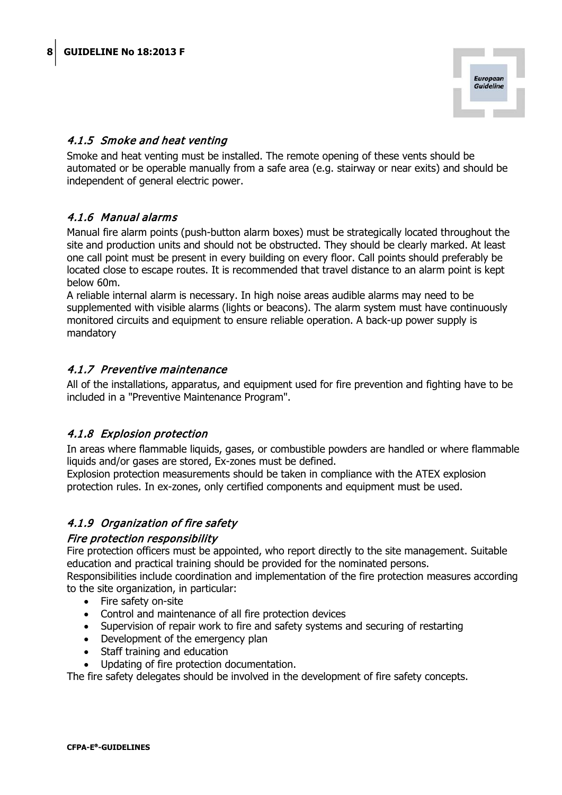

# <span id="page-7-0"></span>4.1.5 Smoke and heat venting

Smoke and heat venting must be installed. The remote opening of these vents should be automated or be operable manually from a safe area (e.g. stairway or near exits) and should be independent of general electric power.

# <span id="page-7-1"></span>4.1.6 Manual alarms

Manual fire alarm points (push-button alarm boxes) must be strategically located throughout the site and production units and should not be obstructed. They should be clearly marked. At least one call point must be present in every building on every floor. Call points should preferably be located close to escape routes. It is recommended that travel distance to an alarm point is kept below 60m.

A reliable internal alarm is necessary. In high noise areas audible alarms may need to be supplemented with visible alarms (lights or beacons). The alarm system must have continuously monitored circuits and equipment to ensure reliable operation. A back-up power supply is mandatory

# <span id="page-7-2"></span>4.1.7 Preventive maintenance

All of the installations, apparatus, and equipment used for fire prevention and fighting have to be included in a "Preventive Maintenance Program".

## <span id="page-7-3"></span>4.1.8 Explosion protection

In areas where flammable liquids, gases, or combustible powders are handled or where flammable liquids and/or gases are stored, Ex-zones must be defined.

Explosion protection measurements should be taken in compliance with the ATEX explosion protection rules. In ex-zones, only certified components and equipment must be used.

# <span id="page-7-4"></span>4.1.9 Organization of fire safety

#### Fire protection responsibility

Fire protection officers must be appointed, who report directly to the site management. Suitable education and practical training should be provided for the nominated persons.

Responsibilities include coordination and implementation of the fire protection measures according to the site organization, in particular:

- Fire safety on-site
- Control and maintenance of all fire protection devices
- Supervision of repair work to fire and safety systems and securing of restarting
- Development of the emergency plan
- Staff training and education
- Updating of fire protection documentation.

The fire safety delegates should be involved in the development of fire safety concepts.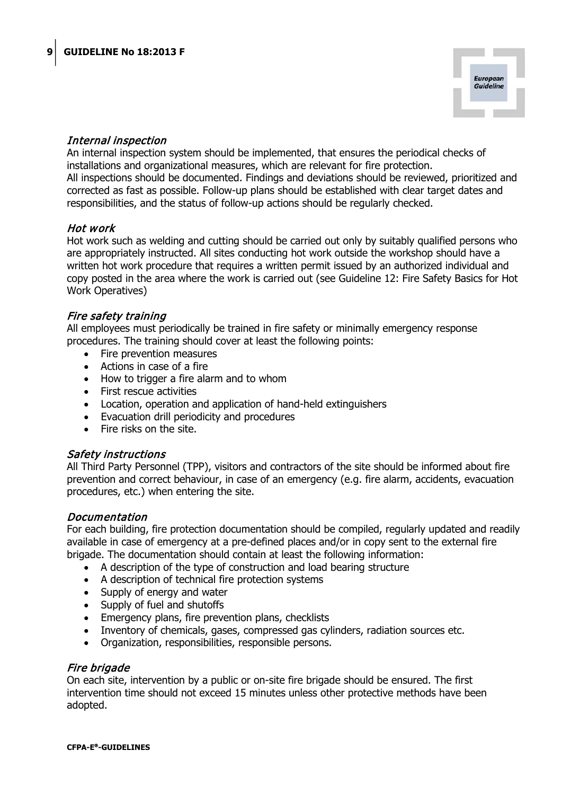

## Internal inspection

An internal inspection system should be implemented, that ensures the periodical checks of installations and organizational measures, which are relevant for fire protection. All inspections should be documented. Findings and deviations should be reviewed, prioritized and corrected as fast as possible. Follow-up plans should be established with clear target dates and responsibilities, and the status of follow-up actions should be regularly checked.

## Hot work

Hot work such as welding and cutting should be carried out only by suitably qualified persons who are appropriately instructed. All sites conducting hot work outside the workshop should have a written hot work procedure that requires a written permit issued by an authorized individual and copy posted in the area where the work is carried out (see Guideline 12: Fire Safety Basics for Hot Work Operatives)

#### Fire safety training

All employees must periodically be trained in fire safety or minimally emergency response procedures. The training should cover at least the following points:

- Fire prevention measures
- Actions in case of a fire
- How to trigger a fire alarm and to whom
- First rescue activities
- Location, operation and application of hand-held extinguishers
- Evacuation drill periodicity and procedures
- Fire risks on the site.

## Safety instructions

All Third Party Personnel (TPP), visitors and contractors of the site should be informed about fire prevention and correct behaviour, in case of an emergency (e.g. fire alarm, accidents, evacuation procedures, etc.) when entering the site.

#### Documentation

For each building, fire protection documentation should be compiled, regularly updated and readily available in case of emergency at a pre-defined places and/or in copy sent to the external fire brigade. The documentation should contain at least the following information:

- A description of the type of construction and load bearing structure
- A description of technical fire protection systems
- Supply of energy and water
- Supply of fuel and shutoffs
- Emergency plans, fire prevention plans, checklists
- Inventory of chemicals, gases, compressed gas cylinders, radiation sources etc.
- Organization, responsibilities, responsible persons.

#### Fire brigade

On each site, intervention by a public or on-site fire brigade should be ensured. The first intervention time should not exceed 15 minutes unless other protective methods have been adopted.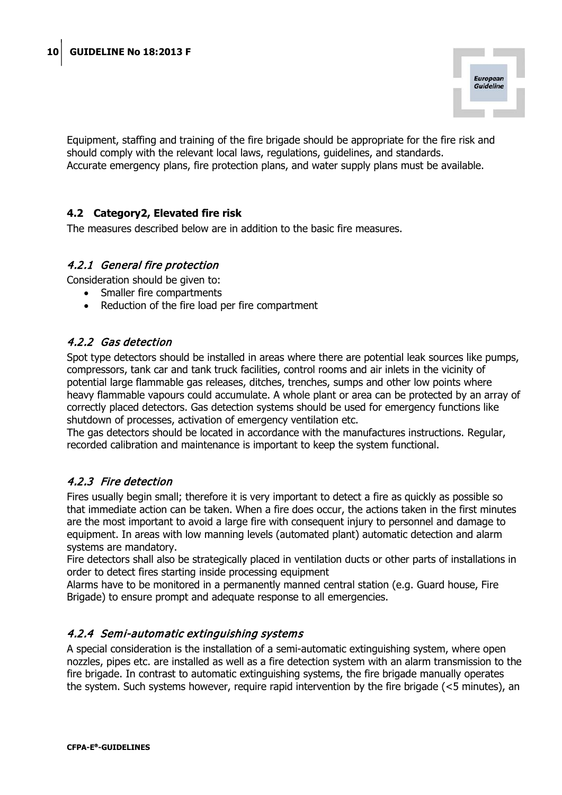

Equipment, staffing and training of the fire brigade should be appropriate for the fire risk and should comply with the relevant local laws, regulations, guidelines, and standards. Accurate emergency plans, fire protection plans, and water supply plans must be available.

# <span id="page-9-0"></span>**4.2 Category2, Elevated fire risk**

The measures described below are in addition to the basic fire measures.

# <span id="page-9-1"></span>4.2.1 General fire protection

Consideration should be given to:

- Smaller fire compartments
- Reduction of the fire load per fire compartment

# <span id="page-9-2"></span>4.2.2 Gas detection

Spot type detectors should be installed in areas where there are potential leak sources like pumps, compressors, tank car and tank truck facilities, control rooms and air inlets in the vicinity of potential large flammable gas releases, ditches, trenches, sumps and other low points where heavy flammable vapours could accumulate. A whole plant or area can be protected by an array of correctly placed detectors. Gas detection systems should be used for emergency functions like shutdown of processes, activation of emergency ventilation etc.

The gas detectors should be located in accordance with the manufactures instructions. Regular, recorded calibration and maintenance is important to keep the system functional.

# <span id="page-9-3"></span>4.2.3 Fire detection

Fires usually begin small; therefore it is very important to detect a fire as quickly as possible so that immediate action can be taken. When a fire does occur, the actions taken in the first minutes are the most important to avoid a large fire with consequent injury to personnel and damage to equipment. In areas with low manning levels (automated plant) automatic detection and alarm systems are mandatory.

Fire detectors shall also be strategically placed in ventilation ducts or other parts of installations in order to detect fires starting inside processing equipment

Alarms have to be monitored in a permanently manned central station (e.g. Guard house, Fire Brigade) to ensure prompt and adequate response to all emergencies.

## <span id="page-9-4"></span>4.2.4 Semi-automatic extinguishing systems

A special consideration is the installation of a semi-automatic extinguishing system, where open nozzles, pipes etc. are installed as well as a fire detection system with an alarm transmission to the fire brigade. In contrast to automatic extinguishing systems, the fire brigade manually operates the system. Such systems however, require rapid intervention by the fire brigade (<5 minutes), an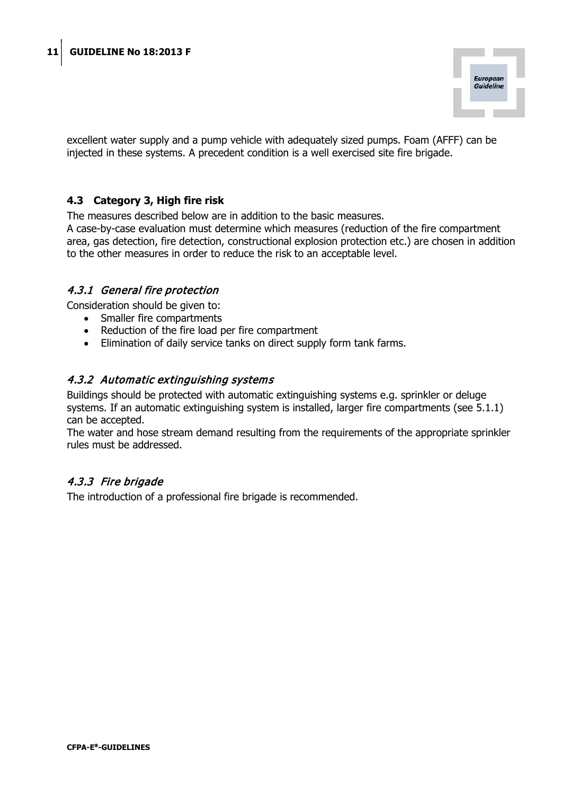

excellent water supply and a pump vehicle with adequately sized pumps. Foam (AFFF) can be injected in these systems. A precedent condition is a well exercised site fire brigade.

## <span id="page-10-0"></span>**4.3 Category 3, High fire risk**

The measures described below are in addition to the basic measures.

A case-by-case evaluation must determine which measures (reduction of the fire compartment area, gas detection, fire detection, constructional explosion protection etc.) are chosen in addition to the other measures in order to reduce the risk to an acceptable level.

#### <span id="page-10-1"></span>4.3.1 General fire protection

Consideration should be given to:

- Smaller fire compartments
- Reduction of the fire load per fire compartment
- Elimination of daily service tanks on direct supply form tank farms.

#### <span id="page-10-2"></span>4.3.2 Automatic extinguishing systems

Buildings should be protected with automatic extinguishing systems e.g. sprinkler or deluge systems. If an automatic extinguishing system is installed, larger fire compartments (see 5.1.1) can be accepted.

The water and hose stream demand resulting from the requirements of the appropriate sprinkler rules must be addressed.

## <span id="page-10-3"></span>4.3.3 Fire brigade

The introduction of a professional fire brigade is recommended.